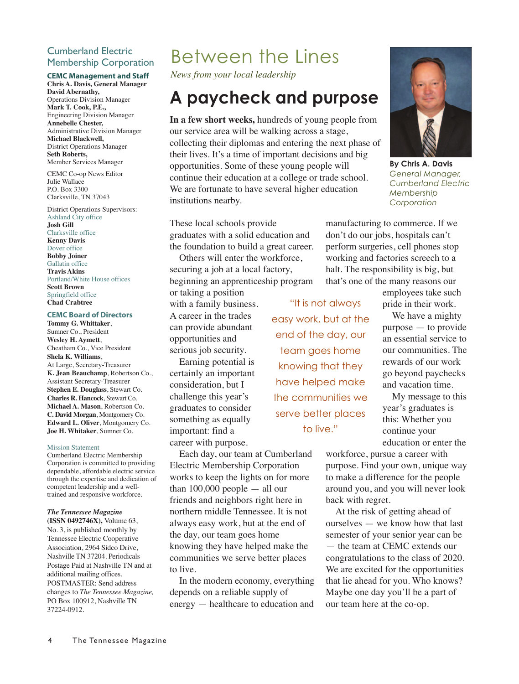### Cumberland Electric Membership Corporation

### **CEMC Management and Staff**

**Chris A. Davis, General Manager David Abernathy,** Operations Division Manager **Mark T. Cook, P.E.,** Engineering Division Manager **Annebelle Chester,** Administrative Division Manager **Michael Blackwell,** District Operations Manager **Seth Roberts,** Member Services Manager

CEMC Co-op News Editor Julie Wallace P.O. Box 3300 Clarksville, TN 37043

District Operations Supervisors: Ashland City office **Josh Gill** Clarksville office **Kenny Davis** Dover office

**Bobby Joiner** Gallatin office **Travis Akins** Portland/White House offices **Scott Brown** Springfield office **Chad Crabtree**

#### **CEMC Board of Directors**

**Tommy G. Whittaker**, Sumner Co., President **Wesley H. Aymett**, Cheatham Co., Vice President **Shela K. Williams**, At Large, Secretary-Treasurer **K. Jean Beauchamp**, Robertson Co., Assistant Secretary-Treasurer **Stephen E. Douglass**, Stewart Co. **Charles R. Hancock**, Stewart Co. **Michael A. Mason**, Robertson Co. **C. David Morgan**, Montgomery Co. **Edward L. Oliver**, Montgomery Co. **Joe H. Whitaker**, Sumner Co.

#### Mission Statement

Cumberland Electric Membership Corporation is committed to providing dependable, affordable electric service through the expertise and dedication of competent leadership and a welltrained and responsive workforce.

### *The Tennessee Magazine*

**(ISSN 0492746X),** Volume 63, No. 3, is published monthly by Tennessee Electric Cooperative Association, 2964 Sidco Drive, Nashville TN 37204. Periodicals Postage Paid at Nashville TN and at additional mailing offices. POSTMASTER: Send address changes to *The Tennessee Magazine,* PO Box 100912, Nashville TN 37224-0912.

## Between the Lines

*News from your local leadership*

### **A paycheck and purpose**

**In a few short weeks,** hundreds of young people from our service area will be walking across a stage, collecting their diplomas and entering the next phase of their lives. It's a time of important decisions and big opportunities. Some of these young people will continue their education at a college or trade school. We are fortunate to have several higher education institutions nearby.

**By Chris A. Davis** *General Manager, Cumberland Electric Membership Corporation*

These local schools provide graduates with a solid education and the foundation to build a great career.

Others will enter the workforce, securing a job at a local factory, beginning an apprenticeship program or taking a position

with a family business. A career in the trades can provide abundant opportunities and serious job security.

Earning potential is certainly an important consideration, but I challenge this year's graduates to consider something as equally important: find a career with purpose.

Each day, our team at Cumberland Electric Membership Corporation works to keep the lights on for more than  $100,000$  people  $-$  all our friends and neighbors right here in northern middle Tennessee. It is not always easy work, but at the end of the day, our team goes home knowing they have helped make the communities we serve better places to live.

In the modern economy, everything depends on a reliable supply of energy — healthcare to education and

"It is not always easy work, but at the end of the day, our team goes home knowing that they have helped make the communities we serve better places to live."

employees take such pride in their work.

manufacturing to commerce. If we don't do our jobs, hospitals can't perform surgeries, cell phones stop working and factories screech to a halt. The responsibility is big, but that's one of the many reasons our

> We have a mighty purpose — to provide an essential service to our communities. The rewards of our work go beyond paychecks and vacation time.

> My message to this year's graduates is this: Whether you continue your education or enter the

workforce, pursue a career with purpose. Find your own, unique way to make a difference for the people around you, and you will never look back with regret.

At the risk of getting ahead of ourselves — we know how that last semester of your senior year can be — the team at CEMC extends our congratulations to the class of 2020. We are excited for the opportunities that lie ahead for you. Who knows? Maybe one day you'll be a part of our team here at the co-op.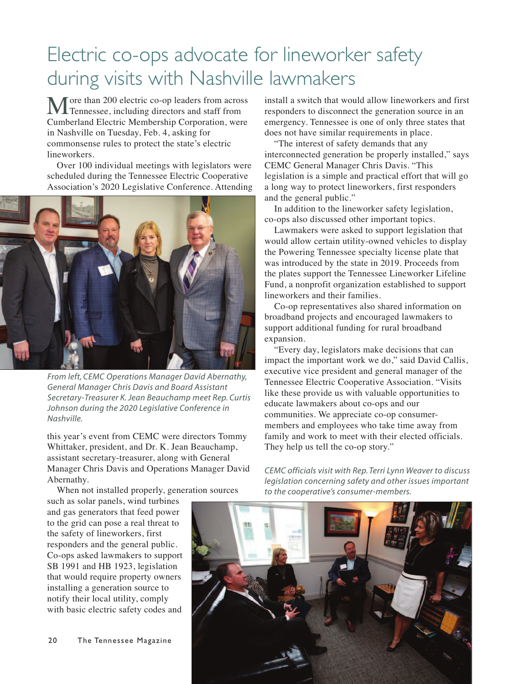## Electric co-ops advocate for lineworker safety during visits with Nashville lawmakers

More than 200 electric co-op leaders from across Tennessee, including directors and staff from Cumberland Electric Membership Corporation, were in Nashville on Tuesday, Feb. 4, asking for commonsense rules to protect the state's electric lineworkers.

Over 100 individual meetings with legislators were scheduled during the Tennessee Electric Cooperative Association's 2020 Legislative Conference. Attending



*From left, CEMC Operations Manager David Abernathy, General Manager Chris Davis and Board Assistant Secretary-Treasurer K. Jean Beauchamp meet Rep. Curtis Johnson during the 2020 Legislative Conference in Nashville.*

this year's event from CEMC were directors Tommy Whittaker, president, and Dr. K. Jean Beauchamp, assistant secretary-treasurer, along with General Manager Chris Davis and Operations Manager David Abernathy.

When not installed properly, generation sources

such as solar panels, wind turbines and gas generators that feed power to the grid can pose a real threat to the safety of lineworkers, first responders and the general public. Co-ops asked lawmakers to support SB 1991 and HB 1923, legislation that would require property owners installing a generation source to notify their local utility, comply with basic electric safety codes and

20 The Tennessee Magazine

install a switch that would allow lineworkers and first responders to disconnect the generation source in an emergency. Tennessee is one of only three states that does not have similar requirements in place.

"The interest of safety demands that any interconnected generation be properly installed," says CEMC General Manager Chris Davis. "This legislation is a simple and practical effort that will go a long way to protect lineworkers, first responders and the general public."

In addition to the lineworker safety legislation, co-ops also discussed other important topics.

Lawmakers were asked to support legislation that would allow certain utility-owned vehicles to display the Powering Tennessee specialty license plate that was introduced by the state in 2019. Proceeds from the plates support the Tennessee Lineworker Lifeline Fund, a nonprofit organization established to support lineworkers and their families.

Co-op representatives also shared information on broadband projects and encouraged lawmakers to support additional funding for rural broadband expansion.

"Every day, legislators make decisions that can impact the important work we do," said David Callis, executive vice president and general manager of the Tennessee Electric Cooperative Association. "Visits like these provide us with valuable opportunities to educate lawmakers about co-ops and our communities. We appreciate co-op consumermembers and employees who take time away from family and work to meet with their elected officials. They help us tell the co-op story."

*CEMC officials visit with Rep. Terri Lynn Weaver to discuss legislation concerning safety and other issues important to the cooperative's consumer-members.*

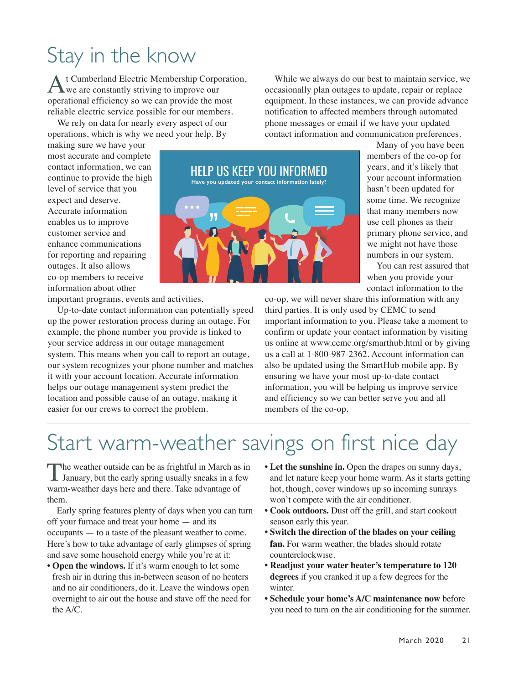## Stay in the know

t Cumberland Electric Membership Corporation, we are constantly striving to improve our operational efficiency so we can provide the most reliable electric service possible for our members.

We rely on data for nearly every aspect of our operations, which is why we need your help. By

making sure we have your most accurate and complete contact information, we can continue to provide the high level of service that you expect and deserve. Accurate information enables us to improve customer service and enhance communications for reporting and repairing outages. It also allows co-op members to receive information about other

important programs, events and activities.

Up-to-date contact information can potentially speed up the power restoration process during an outage. For example, the phone number you provide is linked to your service address in our outage management system. This means when you call to report an outage, our system recognizes your phone number and matches it with your account location. Accurate information helps our outage management system predict the location and possible cause of an outage, making it easier for our crews to correct the problem.



While we always do our best to maintain service, we occasionally plan outages to update, repair or replace equipment. In these instances, we can provide advance notification to affected members through automated phone messages or email if we have your updated contact information and communication preferences.

> Many of you have been members of the co-op for years, and it's likely that your account information hasn't been updated for some time. We recognize that many members now use cell phones as their primary phone service, and we might not have those numbers in our system.

You can rest assured that when you provide your contact information to the

co-op, we will never share this information with any third parties. It is only used by CEMC to send important information to you. Please take a moment to confirm or update your contact information by visiting us online at www.cemc.org/smarthub.html or by giving us a call at 1-800-987-2362. Account information can also be updated using the SmartHub mobile app. By ensuring we have your most up-to-date contact information, you will be helping us improve service and efficiency so we can better serve you and all members of the co-op.

## Start warm-weather savings on first nice day

The weather outside can be as frightful in March as in January, but the early spring usually sneaks in a few warm-weather days here and there. Take advantage of them.

Early spring features plenty of days when you can turn off your furnace and treat your home — and its occupants — to a taste of the pleasant weather to come. Here's how to take advantage of early glimpses of spring and save some household energy while you're at it:

- **Open the windows.** If it's warm enough to let some fresh air in during this in-between season of no heaters and no air conditioners, do it. Leave the windows open overnight to air out the house and stave off the need for the A/C.
- **Let the sunshine in.** Open the drapes on sunny days, and let nature keep your home warm. As it starts getting hot, though, cover windows up so incoming sunrays won't compete with the air conditioner.
- **Cook outdoors.** Dust off the grill, and start cookout season early this year.
- **Switch the direction of the blades on your ceiling fan.** For warm weather, the blades should rotate counterclockwise.
- **Readjust your water heater's temperature to 120 degrees** if you cranked it up a few degrees for the winter.
- **Schedule your home's A/C maintenance now** before you need to turn on the air conditioning for the summer.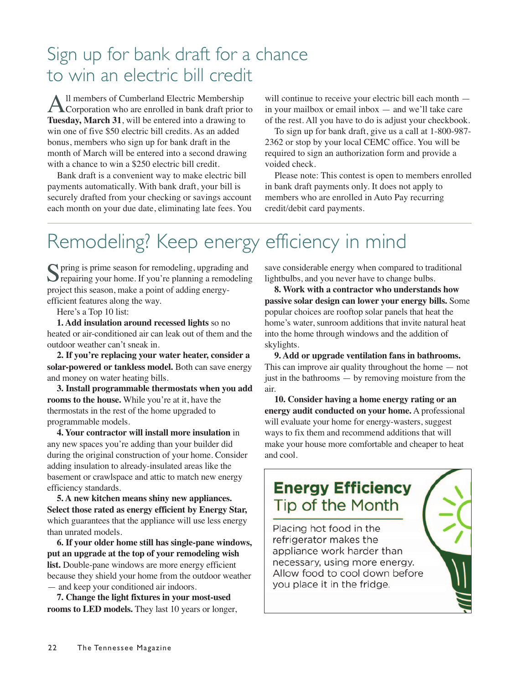### Sign up for bank draft for a chance to win an electric bill credit

All members of Cumberland Electric Membership<br>Corporation who are enrolled in bank draft prior to **Tuesday, March 31**, will be entered into a drawing to win one of five \$50 electric bill credits. As an added bonus, members who sign up for bank draft in the month of March will be entered into a second drawing with a chance to win a \$250 electric bill credit.

Bank draft is a convenient way to make electric bill payments automatically. With bank draft, your bill is securely drafted from your checking or savings account each month on your due date, eliminating late fees. You will continue to receive your electric bill each month in your mailbox or email inbox — and we'll take care of the rest. All you have to do is adjust your checkbook.

To sign up for bank draft, give us a call at 1-800-987- 2362 or stop by your local CEMC office. You will be required to sign an authorization form and provide a voided check.

Please note: This contest is open to members enrolled in bank draft payments only. It does not apply to members who are enrolled in Auto Pay recurring credit/debit card payments.

## Remodeling? Keep energy efficiency in mind

Spring is prime season for remodeling, upgrading and<br>repairing your home. If you're planning a remodeling project this season, make a point of adding energyefficient features along the way.

Here's a Top 10 list:

**1. Add insulation around recessed lights** so no heated or air-conditioned air can leak out of them and the outdoor weather can't sneak in.

**2. If you're replacing your water heater, consider a solar-powered or tankless model.** Both can save energy and money on water heating bills.

**3. Install programmable thermostats when you add rooms to the house.** While you're at it, have the thermostats in the rest of the home upgraded to programmable models.

**4. Your contractor will install more insulation** in any new spaces you're adding than your builder did during the original construction of your home. Consider adding insulation to already-insulated areas like the basement or crawlspace and attic to match new energy efficiency standards.

**5. A new kitchen means shiny new appliances. Select those rated as energy efficient by Energy Star,** which guarantees that the appliance will use less energy than unrated models.

**6. If your older home still has single-pane windows, put an upgrade at the top of your remodeling wish** list. Double-pane windows are more energy efficient because they shield your home from the outdoor weather — and keep your conditioned air indoors.

**7. Change the light fixtures in your most-used rooms to LED models.** They last 10 years or longer, save considerable energy when compared to traditional lightbulbs, and you never have to change bulbs.

**8. Work with a contractor who understands how passive solar design can lower your energy bills.** Some popular choices are rooftop solar panels that heat the home's water, sunroom additions that invite natural heat into the home through windows and the addition of skylights.

**9. Add or upgrade ventilation fans in bathrooms.** This can improve air quality throughout the home — not just in the bathrooms  $-$  by removing moisture from the air.

**10. Consider having a home energy rating or an energy audit conducted on your home.** A professional will evaluate your home for energy-wasters, suggest ways to fix them and recommend additions that will make your house more comfortable and cheaper to heat and cool.

### **Energy Efficiency** Tip of the Month

Placing hot food in the refrigerator makes the appliance work harder than necessary, using more energy. Allow food to cool down before you place it in the fridge.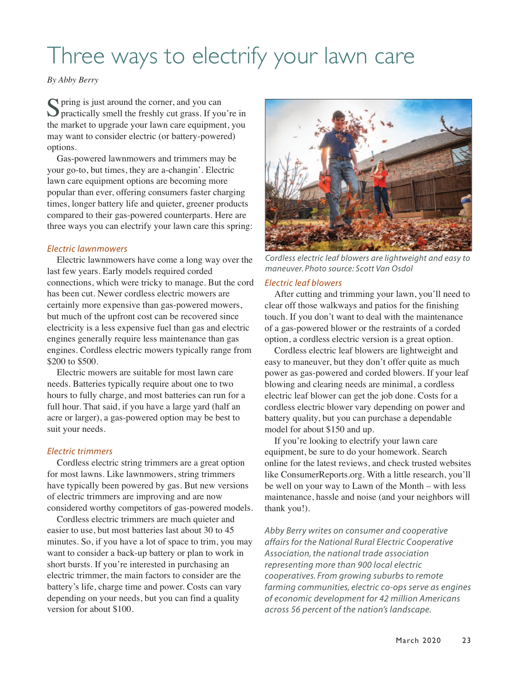## Three ways to electrify your lawn care

*By Abby Berry*

Spring is just around the corner, and you can<br>
Spractically smell the freshly cut grass. If you're in the market to upgrade your lawn care equipment, you may want to consider electric (or battery-powered) options.

Gas-powered lawnmowers and trimmers may be your go-to, but times, they are a-changin'. Electric lawn care equipment options are becoming more popular than ever, offering consumers faster charging times, longer battery life and quieter, greener products compared to their gas-powered counterparts. Here are three ways you can electrify your lawn care this spring:

### *Electric lawnmowers*

Electric lawnmowers have come a long way over the last few years. Early models required corded connections, which were tricky to manage. But the cord has been cut. Newer cordless electric mowers are certainly more expensive than gas-powered mowers, but much of the upfront cost can be recovered since electricity is a less expensive fuel than gas and electric engines generally require less maintenance than gas engines. Cordless electric mowers typically range from \$200 to \$500.

Electric mowers are suitable for most lawn care needs. Batteries typically require about one to two hours to fully charge, and most batteries can run for a full hour. That said, if you have a large yard (half an acre or larger), a gas-powered option may be best to suit your needs.

### *Electric trimmers*

Cordless electric string trimmers are a great option for most lawns. Like lawnmowers, string trimmers have typically been powered by gas. But new versions of electric trimmers are improving and are now considered worthy competitors of gas-powered models.

Cordless electric trimmers are much quieter and easier to use, but most batteries last about 30 to 45 minutes. So, if you have a lot of space to trim, you may want to consider a back-up battery or plan to work in short bursts. If you're interested in purchasing an electric trimmer, the main factors to consider are the battery's life, charge time and power. Costs can vary depending on your needs, but you can find a quality version for about \$100.



*Cordless electric leaf blowers are lightweight and easy to maneuver. Photo source: Scott Van Osdol*

### *Electric leaf blowers*

After cutting and trimming your lawn, you'll need to clear off those walkways and patios for the finishing touch. If you don't want to deal with the maintenance of a gas-powered blower or the restraints of a corded option, a cordless electric version is a great option.

Cordless electric leaf blowers are lightweight and easy to maneuver, but they don't offer quite as much power as gas-powered and corded blowers. If your leaf blowing and clearing needs are minimal, a cordless electric leaf blower can get the job done. Costs for a cordless electric blower vary depending on power and battery quality, but you can purchase a dependable model for about \$150 and up.

If you're looking to electrify your lawn care equipment, be sure to do your homework. Search online for the latest reviews, and check trusted websites like ConsumerReports.org. With a little research, you'll be well on your way to Lawn of the Month – with less maintenance, hassle and noise (and your neighbors will thank you!).

*Abby Berry writes on consumer and cooperative affairs for the National Rural Electric Cooperative Association, the national trade association representing more than 900 local electric cooperatives. From growing suburbs to remote farming communities, electric co-ops serve as engines of economic development for 42 million Americans across 56 percent of the nation's landscape.*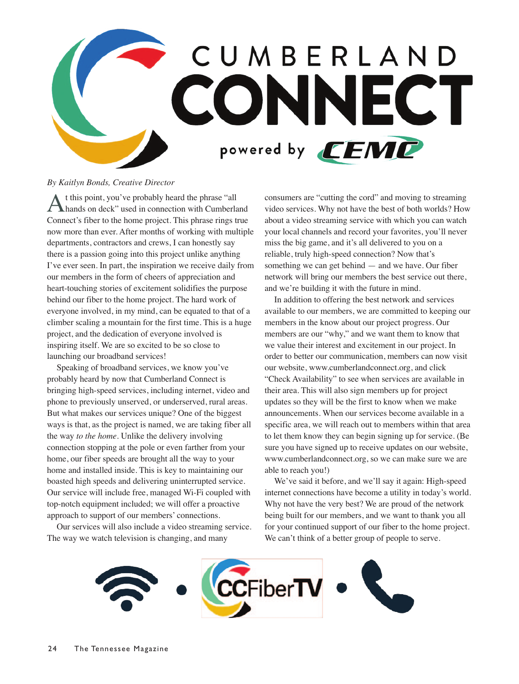

#### *By Kaitlyn Bonds, Creative Director*

At this point, you've probably heard the phrase "all hands on deck" used in connection with Cumberland Connect's fiber to the home project. This phrase rings true now more than ever. After months of working with multiple departments, contractors and crews, I can honestly say there is a passion going into this project unlike anything I've ever seen. In part, the inspiration we receive daily from our members in the form of cheers of appreciation and heart-touching stories of excitement solidifies the purpose behind our fiber to the home project. The hard work of everyone involved, in my mind, can be equated to that of a climber scaling a mountain for the first time. This is a huge project, and the dedication of everyone involved is inspiring itself. We are so excited to be so close to launching our broadband services!

Speaking of broadband services, we know you've probably heard by now that Cumberland Connect is bringing high-speed services, including internet, video and phone to previously unserved, or underserved, rural areas. But what makes our services unique? One of the biggest ways is that, as the project is named, we are taking fiber all the way *to the home*. Unlike the delivery involving connection stopping at the pole or even farther from your home, our fiber speeds are brought all the way to your home and installed inside. This is key to maintaining our boasted high speeds and delivering uninterrupted service. Our service will include free, managed Wi-Fi coupled with top-notch equipment included; we will offer a proactive approach to support of our members' connections.

Our services will also include a video streaming service. The way we watch television is changing, and many

consumers are "cutting the cord" and moving to streaming video services. Why not have the best of both worlds? How about a video streaming service with which you can watch your local channels and record your favorites, you'll never miss the big game, and it's all delivered to you on a reliable, truly high-speed connection? Now that's something we can get behind — and we have. Our fiber network will bring our members the best service out there, and we're building it with the future in mind.

In addition to offering the best network and services available to our members, we are committed to keeping our members in the know about our project progress. Our members are our "why," and we want them to know that we value their interest and excitement in our project. In order to better our communication, members can now visit our website, www.cumberlandconnect.org, and click "Check Availability" to see when services are available in their area. This will also sign members up for project updates so they will be the first to know when we make announcements. When our services become available in a specific area, we will reach out to members within that area to let them know they can begin signing up for service. (Be sure you have signed up to receive updates on our website, www.cumberlandconnect.org, so we can make sure we are able to reach you!)

We've said it before, and we'll say it again: High-speed internet connections have become a utility in today's world. Why not have the very best? We are proud of the network being built for our members, and we want to thank you all for your continued support of our fiber to the home project. We can't think of a better group of people to serve.